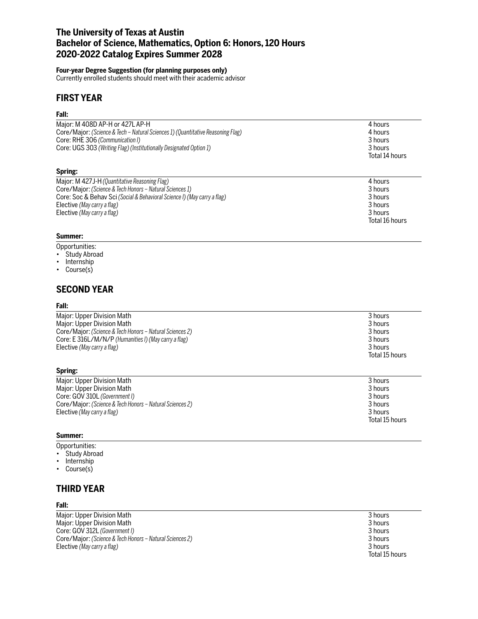# **The University of Texas at Austin Bachelor of Science, Mathematics, Option 6: Honors, 120 Hours 2020-2022 Catalog Expires Summer 2028**

## **Four-year Degree Suggestion (for planning purposes only)**

Currently enrolled students should meet with their academic advisor

# **FIRST YEAR**

## **Fall:**

| Major: M 408D AP-H or 427L AP-H                                                 | 4 hours        |
|---------------------------------------------------------------------------------|----------------|
| Core/Major: (Science & Tech - Natural Sciences 1) (Quantitative Reasoning Flag) | 4 hours        |
| Core: RHE 306 (Communication I)                                                 | 3 hours        |
| Core: UGS 303 (Writing Flag) (Institutionally Designated Option 1)              | 3 hours        |
|                                                                                 | Total 14 hours |
| Spring:                                                                         |                |
| Major: M 427J-H (Quantitative Reasoning Flag)                                   | 4 hours        |
| Core/Major: (Science & Tech Honors – Natural Sciences 1)                        | 3 hours        |
|                                                                                 |                |

| Core/Major: (Science & Tech Honors – Natural Sciences 1)                 | 3 hours        |
|--------------------------------------------------------------------------|----------------|
| Core: Soc & Behav Sci (Social & Behavioral Science I) (May carry a flag) | 3 hours        |
| Elective (May carry a flag)                                              | 3 hours        |
| Elective (May carry a flag)                                              | 3 hours        |
|                                                                          | Total 16 hours |

## **Summer:**

- Opportunities:
- Study Abroad
- Internship
- Course(s)

# **SECOND YEAR**

### **Fall:**

| Major: Upper Division Math                               | 3 hours        |
|----------------------------------------------------------|----------------|
| Major: Upper Division Math                               | 3 hours        |
| Core/Major: (Science & Tech Honors – Natural Sciences 2) | 3 hours        |
| Core: E 316L/M/N/P (Humanities I) (May carry a flag)     | 3 hours        |
| Elective (May carry a flag)                              | 3 hours        |
|                                                          | Total 15 hours |

### **Spring:**

| Major: Upper Division Math                               | 3 hours        |
|----------------------------------------------------------|----------------|
| Major: Upper Division Math                               | 3 hours        |
| Core: GOV 310L (Government I)                            | 3 hours        |
| Core/Major: (Science & Tech Honors – Natural Sciences 2) | 3 hours        |
| Elective (May carry a flag)                              | 3 hours        |
|                                                          | Total 15 hours |

#### **Summer:**

Opportunities:

- Study Abroad
- Internship
- Course(s)

## **THIRD YEAR**

### **Fall:**

Major: Upper Division Math 3 hours<br>
Major: Upper Division Math 3 hours<br>
3 hours 3 hours Major: Upper Division Math 3 hours<br>Core: GOV 312L (Government I) 3 hours Core: GOV 312L *(Government I)* 3 hours<br>
Core/Maior: *(Science & Tech Honors – Natural Sciences 2)* 3 hours 3 hours 3 hours Core/Major: *(Science & Tech Honors – Natural Sciences 2)* Elective *(May carry a flag)* 3 hours

Total 15 hours